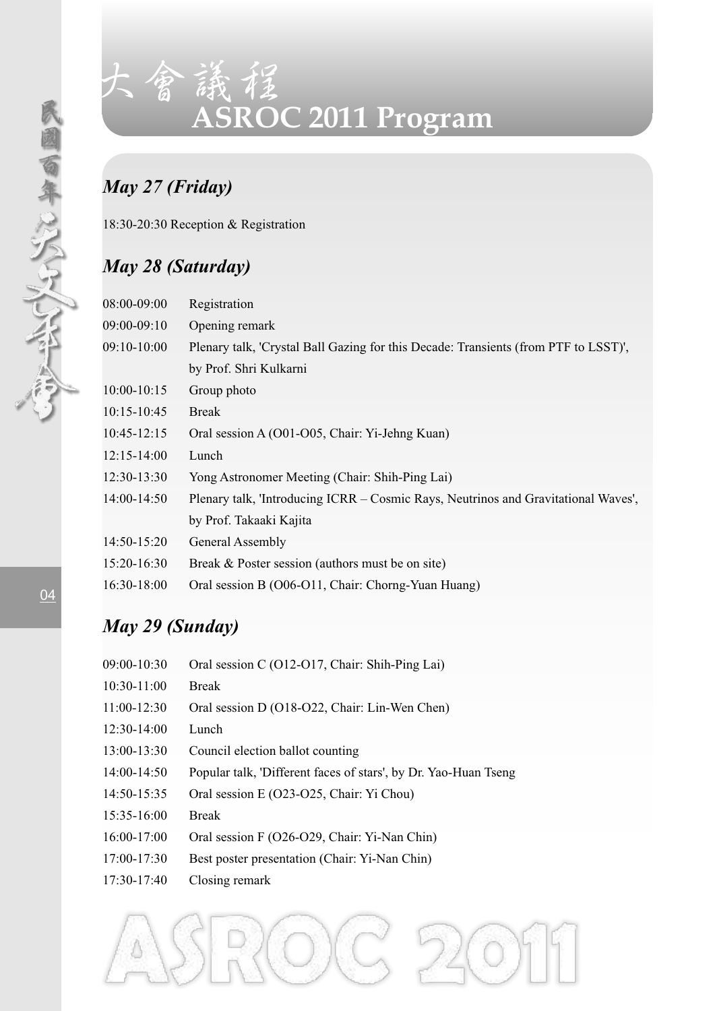

# 大會議程 **ASROC 2011 Program**

## *May 27 (Friday)*

18:30-20:30 Reception & Registration

### *May 28 (Saturday)*

|  | 08:00-09:00     | Registration                                                                        |  |
|--|-----------------|-------------------------------------------------------------------------------------|--|
|  | 09:00-09:10     | Opening remark                                                                      |  |
|  | 09:10-10:00     | Plenary talk, 'Crystal Ball Gazing for this Decade: Transients (from PTF to LSST)', |  |
|  |                 | by Prof. Shri Kulkarni                                                              |  |
|  | 10:00-10:15     | Group photo                                                                         |  |
|  | $10:15 - 10:45$ | <b>Break</b>                                                                        |  |
|  | $10:45-12:15$   | Oral session A (O01-O05, Chair: Yi-Jehng Kuan)                                      |  |
|  | $12:15 - 14:00$ | Lunch                                                                               |  |
|  | 12:30-13:30     | Yong Astronomer Meeting (Chair: Shih-Ping Lai)                                      |  |
|  | 14:00-14:50     | Plenary talk, 'Introducing ICRR - Cosmic Rays, Neutrinos and Gravitational Waves',  |  |
|  |                 | by Prof. Takaaki Kajita                                                             |  |
|  | 14:50-15:20     | General Assembly                                                                    |  |
|  | 15:20-16:30     | Break & Poster session (authors must be on site)                                    |  |
|  | 16:30-18:00     | Oral session B (O06-O11, Chair: Chorng-Yuan Huang)                                  |  |

## *May 29 (Sunday)*

| 09:00-10:30   | Oral session C (O12-O17, Chair: Shih-Ping Lai)                  |
|---------------|-----------------------------------------------------------------|
| $10:30-11:00$ | <b>Break</b>                                                    |
| 11:00-12:30   | Oral session D (O18-O22, Chair: Lin-Wen Chen)                   |
| $12:30-14:00$ | Lunch                                                           |
| 13:00-13:30   | Council election ballot counting                                |
| 14:00-14:50   | Popular talk, 'Different faces of stars', by Dr. Yao-Huan Tseng |
| 14:50-15:35   | Oral session E (O23-O25, Chair: Yi Chou)                        |
| 15:35-16:00   | <b>Break</b>                                                    |
| 16:00-17:00   | Oral session F (O26-O29, Chair: Yi-Nan Chin)                    |
| 17:00-17:30   | Best poster presentation (Chair: Yi-Nan Chin)                   |
| $17:30-17:40$ | Closing remark                                                  |

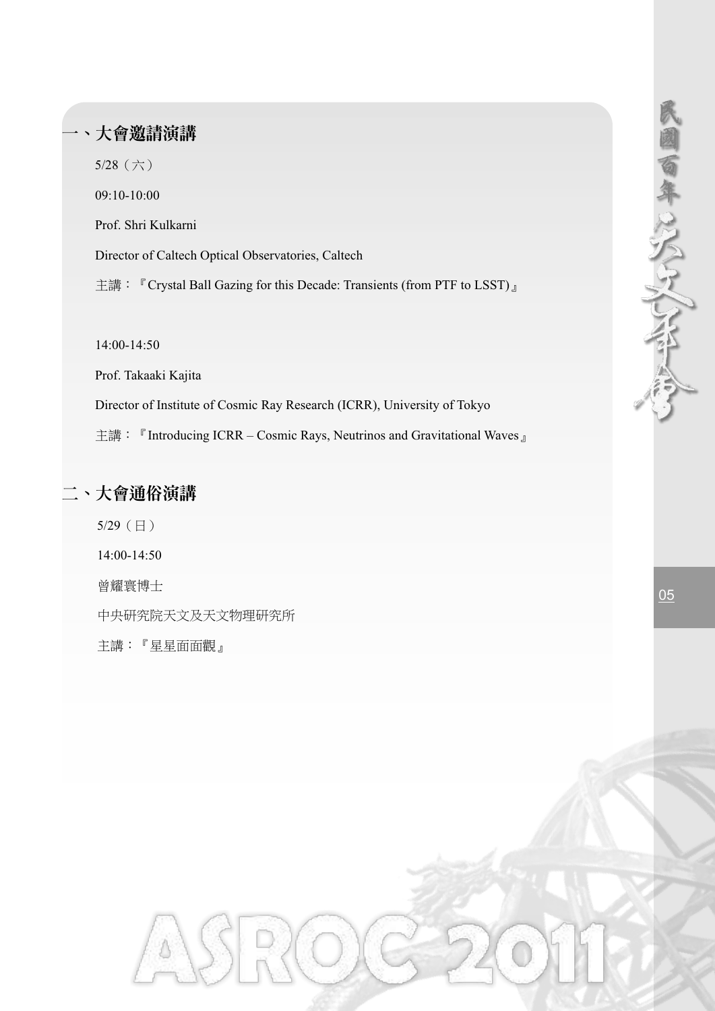## **ASROC 2011 Program** 一、大會邀請演講

5/28(六)

09:10-10:00

Prof. Shri Kulkarni

Director of Caltech Optical Observatories, Caltech

主講: 『Crystal Ball Gazing for this Decade: Transients (from PTF to LSST)』

14:00-14:50

Prof. Takaaki Kajita

Director of Institute of Cosmic Ray Research (ICRR), University of Tokyo

主講: 『Introducing ICRR – Cosmic Rays, Neutrinos and Gravitational Waves』

#### 二、大會通俗演講

5/29(日) 14:00-14:50 曾耀寰博士 中央研究院天文及天文物理研究所 主講:『星星面面觀』  $\frac{0.5}{0.5}$ 

民國百年以人了人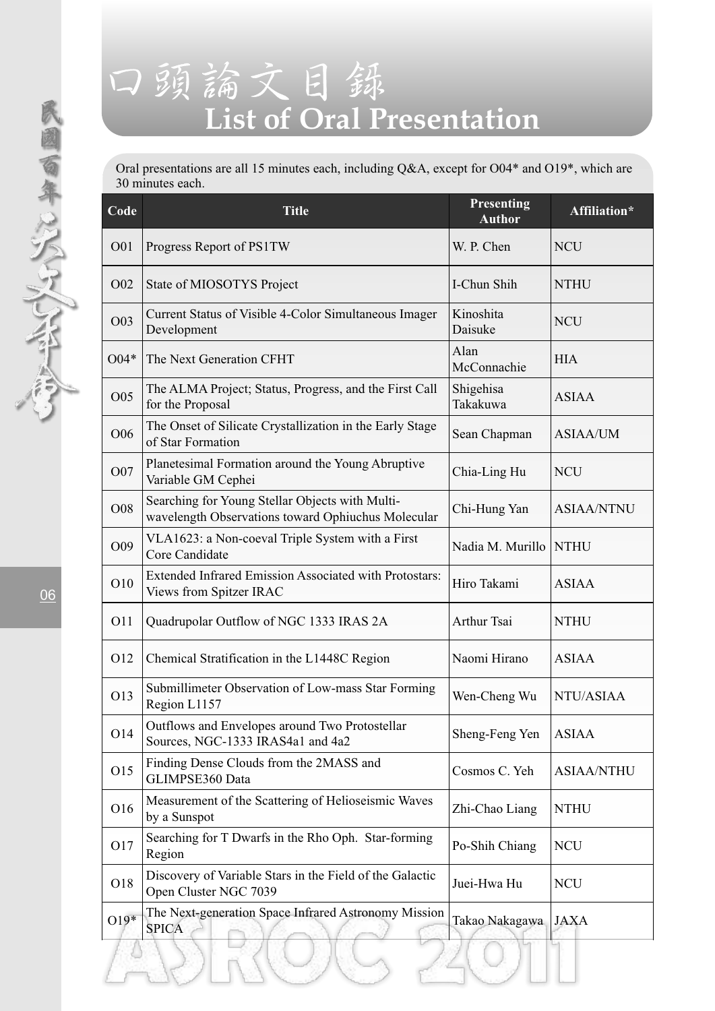# 口頭論文目錄 **List of Oral Presentation**

Oral presentations are all 15 minutes each, including Q&A, except for O04\* and O19\*, which are 30 minutes each.

| Code            | <b>Title</b>                                                                                          | Presenting<br><b>Author</b> | Affiliation*      |
|-----------------|-------------------------------------------------------------------------------------------------------|-----------------------------|-------------------|
| O01             | Progress Report of PS1TW                                                                              | W. P. Chen                  | <b>NCU</b>        |
|                 | O02 State of MIOSOTYS Project                                                                         | I-Chun Shih                 | <b>NTHU</b>       |
| O03             | Current Status of Visible 4-Color Simultaneous Imager<br>Development                                  | Kinoshita<br>Daisuke        | <b>NCU</b>        |
| $O04*$          | The Next Generation CFHT                                                                              | Alan<br>McConnachie         | <b>HIA</b>        |
| O05             | The ALMA Project; Status, Progress, and the First Call<br>for the Proposal                            | Shigehisa<br>Takakuwa       | <b>ASIAA</b>      |
| O06             | The Onset of Silicate Crystallization in the Early Stage<br>of Star Formation                         | Sean Chapman                | <b>ASIAA/UM</b>   |
| O07             | Planetesimal Formation around the Young Abruptive<br>Variable GM Cephei                               | Chia-Ling Hu                | <b>NCU</b>        |
| O08             | Searching for Young Stellar Objects with Multi-<br>wavelength Observations toward Ophiuchus Molecular | Chi-Hung Yan                | <b>ASIAA/NTNU</b> |
| O09             | VLA1623: a Non-coeval Triple System with a First<br>Core Candidate                                    | Nadia M. Murillo NTHU       |                   |
| O10             | Extended Infrared Emission Associated with Protostars:<br>Views from Spitzer IRAC                     | Hiro Takami                 | <b>ASIAA</b>      |
| O11             | Quadrupolar Outflow of NGC 1333 IRAS 2A                                                               | Arthur Tsai                 | <b>NTHU</b>       |
| O12             | Chemical Stratification in the L1448C Region                                                          | Naomi Hirano                | <b>ASIAA</b>      |
| O13             | Submillimeter Observation of Low-mass Star Forming<br>Region L1157                                    | Wen-Cheng Wu                | NTU/ASIAA         |
| O <sub>14</sub> | Outflows and Envelopes around Two Protostellar<br>Sources, NGC-1333 IRAS4a1 and 4a2                   | Sheng-Feng Yen              | <b>ASIAA</b>      |
| O15             | Finding Dense Clouds from the 2MASS and<br>GLIMPSE360 Data                                            | Cosmos C. Yeh               | <b>ASIAA/NTHU</b> |
| O16             | Measurement of the Scattering of Helioseismic Waves<br>by a Sunspot                                   | Zhi-Chao Liang              | <b>NTHU</b>       |
| O17             | Searching for T Dwarfs in the Rho Oph. Star-forming<br>Region                                         | Po-Shih Chiang              | NCU               |
| O18             | Discovery of Variable Stars in the Field of the Galactic<br>Open Cluster NGC 7039                     | Juei-Hwa Hu                 | <b>NCU</b>        |
| $O19*$          | The Next-generation Space Infrared Astronomy Mission<br><b>SPICA</b>                                  | Takao Nakagawa   JAXA       |                   |

民國百年以次又人名印念